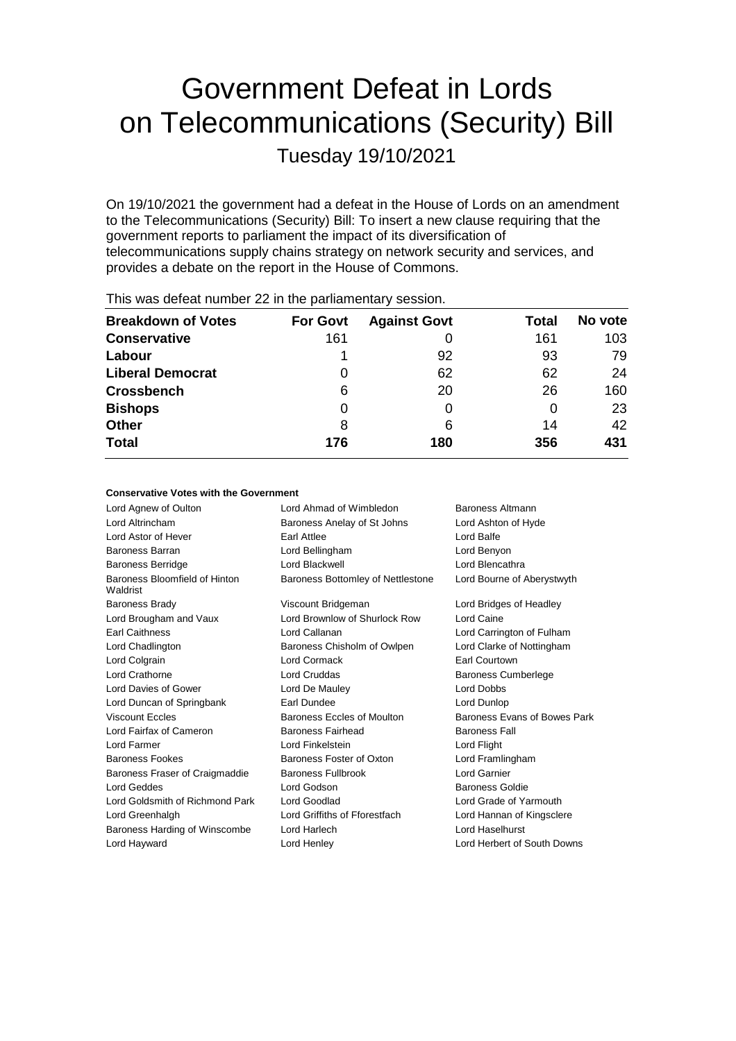# Government Defeat in Lords on Telecommunications (Security) Bill

Tuesday 19/10/2021

On 19/10/2021 the government had a defeat in the House of Lords on an amendment to the Telecommunications (Security) Bill: To insert a new clause requiring that the government reports to parliament the impact of its diversification of telecommunications supply chains strategy on network security and services, and provides a debate on the report in the House of Commons.

|                 | This was deleat number 22 in the parliamentary session. |       |         |  |  |  |
|-----------------|---------------------------------------------------------|-------|---------|--|--|--|
| <b>For Govt</b> | <b>Against Govt</b>                                     | Total | No vote |  |  |  |
| 161             |                                                         | 161   | 103     |  |  |  |
|                 | 92                                                      | 93    | 79      |  |  |  |
| 0               | 62                                                      | 62    | 24      |  |  |  |
| 6               | 20                                                      | 26    | 160     |  |  |  |
| 0               |                                                         | 0     | 23      |  |  |  |
| 8               | 6                                                       | 14    | 42      |  |  |  |
| 176             | 180                                                     | 356   | 431     |  |  |  |
|                 |                                                         |       |         |  |  |  |

This was defeat number 22 in the parliamentary session.

#### **Conservative Votes with the Government**

| Lord Agnew of Oulton                      | Lord Ahmad of Wimbledon           | Baroness Altmann             |
|-------------------------------------------|-----------------------------------|------------------------------|
| Lord Altrincham                           | Baroness Anelay of St Johns       | Lord Ashton of Hyde          |
| Lord Astor of Hever                       | Earl Attlee                       | Lord Balfe                   |
| <b>Baroness Barran</b>                    | Lord Bellingham                   | Lord Benyon                  |
| <b>Baroness Berridge</b>                  | Lord Blackwell                    | Lord Blencathra              |
| Baroness Bloomfield of Hinton<br>Waldrist | Baroness Bottomley of Nettlestone | Lord Bourne of Aberystwyth   |
| <b>Baroness Brady</b>                     | Viscount Bridgeman                | Lord Bridges of Headley      |
| Lord Brougham and Vaux                    | Lord Brownlow of Shurlock Row     | Lord Caine                   |
| <b>Earl Caithness</b>                     | Lord Callanan                     | Lord Carrington of Fulham    |
| Lord Chadlington                          | Baroness Chisholm of Owlpen       | Lord Clarke of Nottingham    |
| Lord Colgrain                             | Lord Cormack                      | Earl Courtown                |
| <b>Lord Crathorne</b>                     | <b>Lord Cruddas</b>               | <b>Baroness Cumberlege</b>   |
| Lord Davies of Gower                      | Lord De Mauley                    | Lord Dobbs                   |
| Lord Duncan of Springbank                 | Earl Dundee                       | Lord Dunlop                  |
| <b>Viscount Eccles</b>                    | Baroness Eccles of Moulton        | Baroness Evans of Bowes Park |
| Lord Fairfax of Cameron                   | <b>Baroness Fairhead</b>          | <b>Baroness Fall</b>         |
| Lord Farmer                               | Lord Finkelstein                  | Lord Flight                  |
| <b>Baroness Fookes</b>                    | Baroness Foster of Oxton          | Lord Framlingham             |
| Baroness Fraser of Craigmaddie            | Baroness Fullbrook                | Lord Garnier                 |
| Lord Geddes                               | Lord Godson                       | <b>Baroness Goldie</b>       |
| Lord Goldsmith of Richmond Park           | Lord Goodlad                      | Lord Grade of Yarmouth       |
| Lord Greenhalgh                           | Lord Griffiths of Fforestfach     | Lord Hannan of Kingsclere    |
| Baroness Harding of Winscombe             | Lord Harlech                      | Lord Haselhurst              |
| Lord Hayward                              | Lord Henley                       | Lord Herbert of South Downs  |
|                                           |                                   |                              |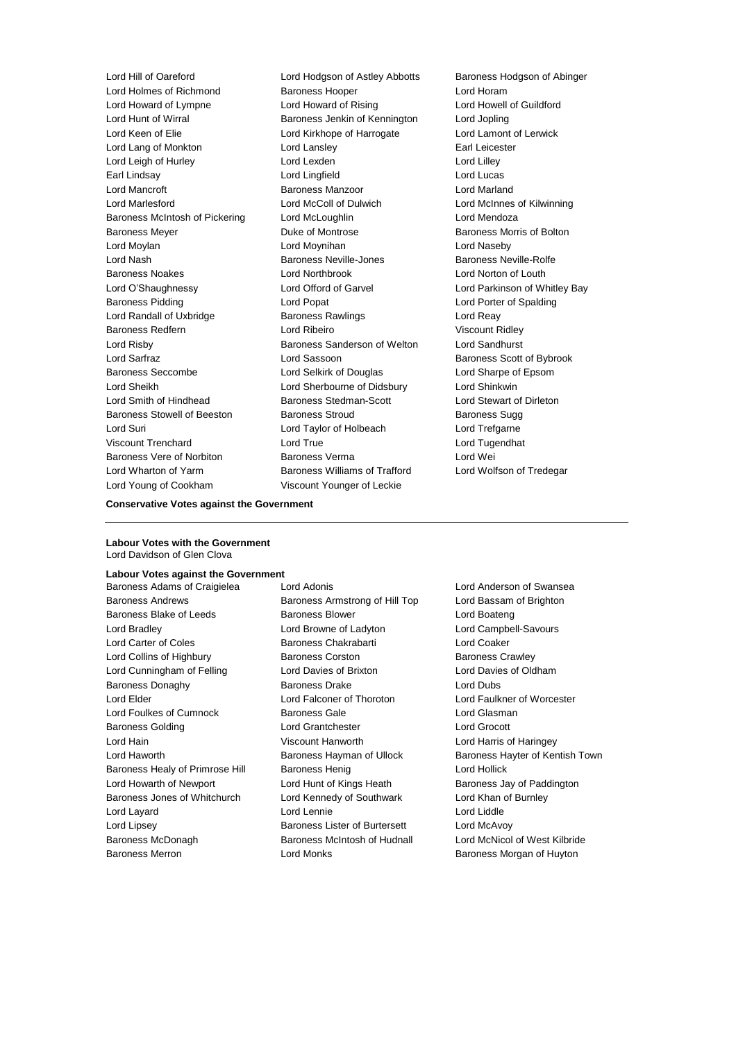Lord Holmes of Richmond Baroness Hooper Cord Horam Lord Howard of Lympne Lord Howard of Rising Lord Howell of Guildford Lord Hunt of Wirral Baroness Jenkin of Kennington Lord Jopling Lord Keen of Elie Lord Kirkhope of Harrogate Lord Lamont of Lerwick Lord Lang of Monkton Lord Lansley Earl Leicester Lord Leigh of Hurley **Lord Lexden** Lord Lexden **Lord Lilley** Earl Lindsay Lord Lingfield Lord Lucas Lord Mancroft Baroness Manzoor Lord Marland Lord Marlesford Lord McColl of Dulwich Lord McInnes of Kilwinning Baroness McIntosh of Pickering Lord McLoughlin Lord Mendoza Baroness Meyer **Duke of Montrose Baroness Morris of Bolton** Lord Moylan Lord Moynihan Lord Naseby Lord Nash **Baroness Neville-Jones** Baroness Neville-Rolfe Baroness Noakes Lord Northbrook Lord Norton of Louth Lord O'Shaughnessy Lord Offord of Garvel Lord Parkinson of Whitley Bay Baroness Pidding Lord Popat Lord Porter of Spalding Lord Randall of Uxbridge **Baroness Rawlings Lord Reay** Baroness Redfern Lord Ribeiro Viscount Ridley Lord Risby Baroness Sanderson of Welton Lord Sandhurst Lord Sarfraz **Lord Sassoon** Baroness Scott of Bybrook Baroness Seccombe **Lord Selkirk of Douglas** Lord Sharpe of Epsom Lord Sheikh Lord Sherbourne of Didsbury Lord Shinkwin Lord Smith of Hindhead Baroness Stedman-Scott Lord Stewart of Dirleton Baroness Stowell of Beeston **Baroness Stroud** Baroness Sugg Lord Suri Lord Taylor of Holbeach Lord Trefgarne Viscount Trenchard Lord True Lord Tugendhat Baroness Vere of Norbiton **Baroness Verma** Lord Wei Lord Wharton of Yarm **Baroness Williams of Trafford** Lord Wolfson of Tredegar Lord Young of Cookham Viscount Younger of Leckie

Lord Hill of Oareford Lord Hodgson of Astley Abbotts Baroness Hodgson of Abinger

#### **Conservative Votes against the Government**

**Labour Votes with the Government** Lord Davidson of Glen Clova

## **Labour Votes against the Government**

Baroness Andrews Baroness Armstrong of Hill Top Lord Bassam of Brighton Baroness Blake of Leeds Baroness Blower Baroness Blower Lord Boateng Lord Bradley Lord Browne of Ladyton Lord Campbell-Savours Lord Carter of Coles Baroness Chakrabarti Lord Coaker Lord Collins of Highbury **Baroness Corston** Baroness Corston Baroness Crawley Lord Cunningham of Felling Lord Davies of Brixton Lord Davies of Oldham Baroness Donaghy Baroness Drake Lord Dubs Lord Elder Lord Falconer of Thoroton Lord Faulkner of Worcester Lord Foulkes of Cumnock Baroness Gale Lord Glasman Baroness Golding Lord Grantchester Lord Grocott Lord Hain Viscount Hanworth Lord Harris of Haringey Lord Haworth **Baroness Hayman of Ullock** Baroness Hayter of Kentish Town Baroness Healy of Primrose Hill Baroness Henig Contract Rend Hollick Lord Howarth of Newport **Lord Hunt of Kings Heath** Baroness Jay of Paddington Baroness Jones of Whitchurch Lord Kennedy of Southwark Lord Khan of Burnley Lord Layard Lord Lennie Lord Liddle Lord Lipsey Baroness Lister of Burtersett Lord McAvoy Baroness McDonagh Baroness McIntosh of Hudnall Lord McNicol of West Kilbride Baroness Merron Lord Monks Baroness Morgan of Huyton

Baroness Adams of Craigielea Lord Adonis Lord Anderson of Swansea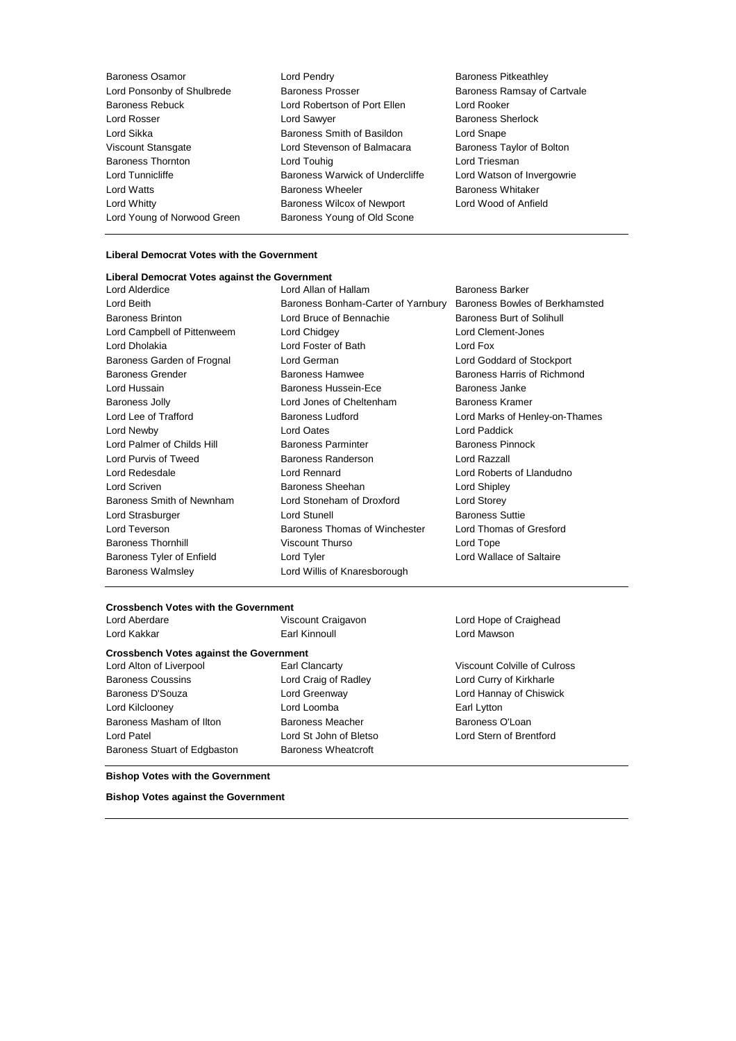Baroness Osamor **Baroness Community** Lord Pendry **Baroness Pricess Pitkeathley** Lord Ponsonby of Shulbrede Baroness Prosser Baroness Ramsay of Cartvale Baroness Rebuck Lord Robertson of Port Ellen Lord Rooker Lord Rosser Lord Sawyer Baroness Sherlock Lord Sikka Baroness Smith of Basildon Lord Snape Viscount Stansgate Lord Stevenson of Balmacara Baroness Taylor of Bolton Baroness Thornton **Lord Touhig** Lord Touhig Lord Triesman Lord Tunnicliffe **Baroness Warwick of Undercliffe** Lord Watson of Invergowrie Lord Watts **Baroness Wheeler** Baroness Wheeler Baroness Whitaker Lord Whitty Baroness Wilcox of Newport Lord Wood of Anfield Lord Young of Norwood Green Baroness Young of Old Scone

#### **Liberal Democrat Votes with the Government**

## **Liberal Democrat Votes against the Government**

Baroness Walmsley **Lord Willis of Knaresborough** 

Lord Beith **Baroness Bonham-Carter of Yarnbury** Baroness Bowles of Berkhamsted Baroness Brinton **Baroness** Brinton **Lord Bruce of Bennachie** Baroness Burt of Solihull Lord Campbell of Pittenweem Lord Chidgey Lord Clement-Jones Lord Dholakia Lord Foster of Bath Lord Fox Baroness Garden of Frognal Lord German Lord Goddard of Stockport Baroness Grender **Baroness Hamwee** Baroness Hamwee **Baroness Hammed Baroness Hammed Baroness** Hammed Baroness Hammed Baroness Hammed Baroness Hammed Baroness Hammed Baroness Hammed Baroness Hammed Baroness Hammed Baroness Lord Hussain Baroness Hussein-Ece Baroness Janke Baroness Jolly **Lord Jones of Cheltenham** Baroness Kramer Lord Lee of Trafford Baroness Ludford Lord Marks of Henley-on-Thames Lord Newby Lord Oates Lord Paddick Lord Palmer of Childs Hill Baroness Parminter Baroness Pinnock Lord Purvis of Tweed Baroness Randerson Lord Razzall Lord Redesdale Lord Rennard Lord Roberts of Llandudno Lord Scriven Baroness Sheehan Lord Shipley Baroness Smith of Newnham Lord Stoneham of Droxford Lord Storey Lord Strasburger **Lord Stunell** Baroness Suttie Lord Teverson **Baroness Thomas of Winchester** Lord Thomas of Gresford Baroness Thornhill **Same School Contact Viscount Thurso** Contact Lord Tope Baroness Tyler of Enfield Lord Tyler Lord Tyler Lord Wallace of Saltaire

Lord Allan of Hallam Baroness Barker

#### **Crossbench Votes with the Government**

| Lord Aberdare | Viscount Craigavon | Lord Hope of Craighead |
|---------------|--------------------|------------------------|
| Lord Kakkar   | Earl Kinnoull      | Lord Mawson            |

#### **Crossbench Votes against the Government**

Lord Alton of Liverpool Earl Clancarty Viscount Colville of Culross Baroness Coussins Lord Craig of Radley Lord Curry of Kirkharle Baroness D'Souza Lord Greenway Lord Hannay of Chiswick Lord Kilclooney **Earl Lytton** Lord Loomba **Earl Lytton** Baroness Masham of Ilton Baroness Meacher Baroness O'Loan Lord Patel Lord St John of Bletso Lord Stern of Brentford Baroness Stuart of Edgbaston Baroness Wheatcroft

**Bishop Votes with the Government**

**Bishop Votes against the Government**